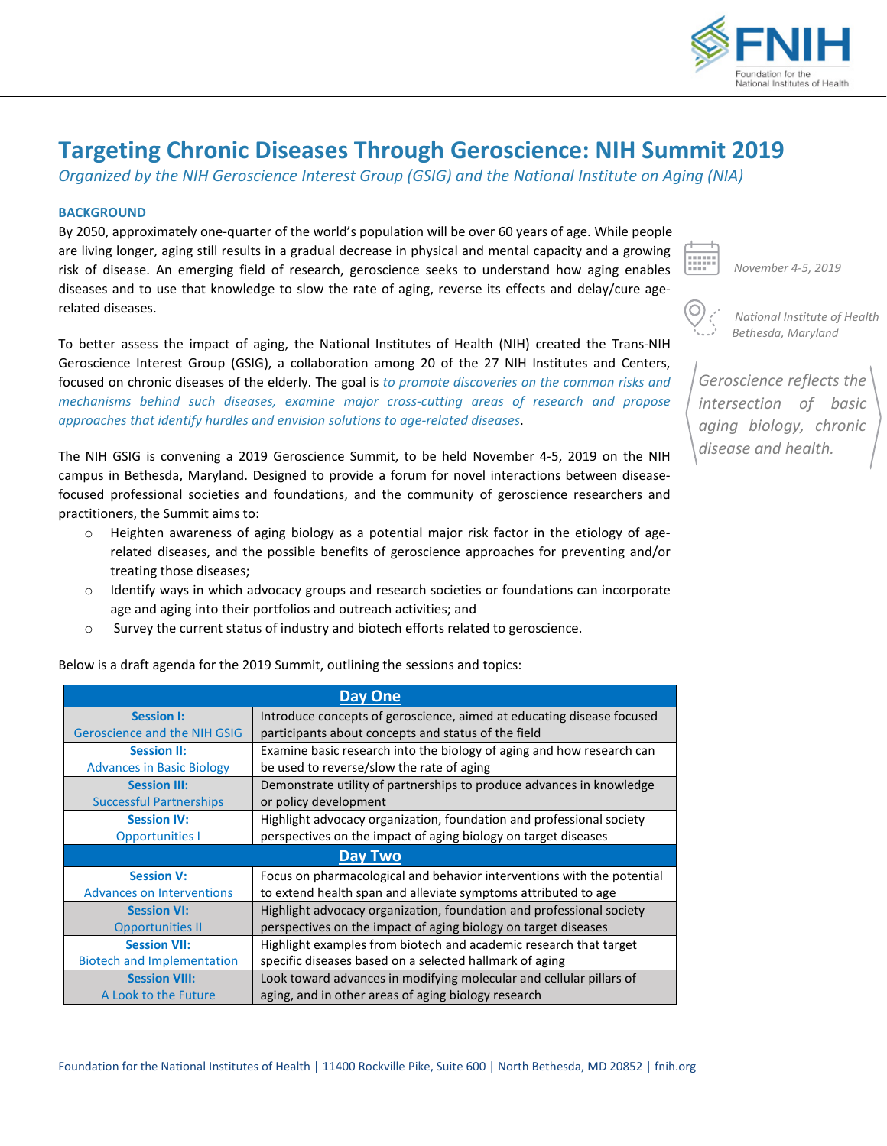

# **Targeting Chronic Diseases Through Geroscience: NIH Summit 2019**

*Organized by the NIH Geroscience Interest Group (GSIG) and the National Institute on Aging (NIA)*

## **BACKGROUND**

By 2050, approximately one-quarter of the world's population will be over 60 years of age. While people are living longer, aging still results in a gradual decrease in physical and mental capacity and a growing risk of disease. An emerging field of research, geroscience seeks to understand how aging enables diseases and to use that knowledge to slow the rate of aging, reverse its effects and delay/cure agerelated diseases.

To better assess the impact of aging, the National Institutes of Health (NIH) created the Trans-NIH Geroscience Interest Group (GSIG), a collaboration among 20 of the 27 NIH Institutes and Centers, focused on chronic diseases of the elderly. The goal is *to promote discoveries on the common risks and mechanisms behind such diseases, examine major cross-cutting areas of research and propose approaches that identify hurdles and envision solutions to age-related diseases*.

The NIH GSIG is convening a 2019 Geroscience Summit, to be held November 4-5, 2019 on the NIH campus in Bethesda, Maryland. Designed to provide a forum for novel interactions between diseasefocused professional societies and foundations, and the community of geroscience researchers and practitioners, the Summit aims to:

- $\circ$  Heighten awareness of aging biology as a potential major risk factor in the etiology of agerelated diseases, and the possible benefits of geroscience approaches for preventing and/or treating those diseases;
- $\circ$  Identify ways in which advocacy groups and research societies or foundations can incorporate age and aging into their portfolios and outreach activities; and
- o Survey the current status of industry and biotech efforts related to geroscience.

Below is a draft agenda for the 2019 Summit, outlining the sessions and topics:

| <b>Day One</b>                    |                                                                        |  |
|-----------------------------------|------------------------------------------------------------------------|--|
| <b>Session I:</b>                 | Introduce concepts of geroscience, aimed at educating disease focused  |  |
| Geroscience and the NIH GSIG      | participants about concepts and status of the field                    |  |
| <b>Session II:</b>                | Examine basic research into the biology of aging and how research can  |  |
| <b>Advances in Basic Biology</b>  | be used to reverse/slow the rate of aging                              |  |
| <b>Session III:</b>               | Demonstrate utility of partnerships to produce advances in knowledge   |  |
| <b>Successful Partnerships</b>    | or policy development                                                  |  |
| <b>Session IV:</b>                | Highlight advocacy organization, foundation and professional society   |  |
| <b>Opportunities I</b>            | perspectives on the impact of aging biology on target diseases         |  |
| Day Two                           |                                                                        |  |
| <b>Session V:</b>                 | Focus on pharmacological and behavior interventions with the potential |  |
| <b>Advances on Interventions</b>  | to extend health span and alleviate symptoms attributed to age         |  |
| <b>Session VI:</b>                | Highlight advocacy organization, foundation and professional society   |  |
| <b>Opportunities II</b>           | perspectives on the impact of aging biology on target diseases         |  |
| <b>Session VII:</b>               | Highlight examples from biotech and academic research that target      |  |
| <b>Biotech and Implementation</b> | specific diseases based on a selected hallmark of aging                |  |
| <b>Session VIII:</b>              | Look toward advances in modifying molecular and cellular pillars of    |  |
| A Look to the Future              | aging, and in other areas of aging biology research                    |  |

*November 4-5, 2019* 

 *National Institute of Health Bethesda, Maryland*

*Geroscience reflects the intersection of basic aging biology, chronic disease and health.*